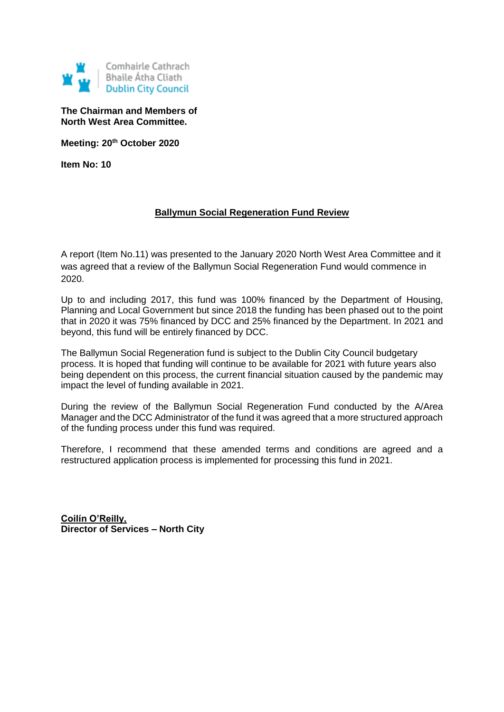

**The Chairman and Members of North West Area Committee.**

**Meeting: 20th October 2020**

**Item No: 10**

### **Ballymun Social Regeneration Fund Review**

A report (Item No.11) was presented to the January 2020 North West Area Committee and it was agreed that a review of the Ballymun Social Regeneration Fund would commence in 2020.

Up to and including 2017, this fund was 100% financed by the Department of Housing, Planning and Local Government but since 2018 the funding has been phased out to the point that in 2020 it was 75% financed by DCC and 25% financed by the Department. In 2021 and beyond, this fund will be entirely financed by DCC.

The Ballymun Social Regeneration fund is subject to the Dublin City Council budgetary process. It is hoped that funding will continue to be available for 2021 with future years also being dependent on this process, the current financial situation caused by the pandemic may impact the level of funding available in 2021.

During the review of the Ballymun Social Regeneration Fund conducted by the A/Area Manager and the DCC Administrator of the fund it was agreed that a more structured approach of the funding process under this fund was required.

Therefore, I recommend that these amended terms and conditions are agreed and a restructured application process is implemented for processing this fund in 2021.

**Coilín O'Reilly, Director of Services – North City**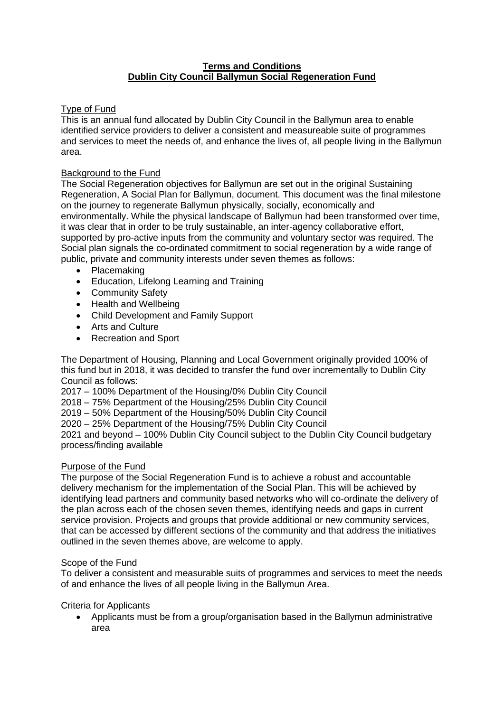### **Terms and Conditions Dublin City Council Ballymun Social Regeneration Fund**

### Type of Fund

This is an annual fund allocated by Dublin City Council in the Ballymun area to enable identified service providers to deliver a consistent and measureable suite of programmes and services to meet the needs of, and enhance the lives of, all people living in the Ballymun area.

### Background to the Fund

The Social Regeneration objectives for Ballymun are set out in the original Sustaining Regeneration, A Social Plan for Ballymun, document. This document was the final milestone on the journey to regenerate Ballymun physically, socially, economically and environmentally. While the physical landscape of Ballymun had been transformed over time, it was clear that in order to be truly sustainable, an inter-agency collaborative effort, supported by pro-active inputs from the community and voluntary sector was required. The Social plan signals the co-ordinated commitment to social regeneration by a wide range of public, private and community interests under seven themes as follows:

- Placemaking
- Education, Lifelong Learning and Training
- Community Safety
- Health and Wellbeing
- Child Development and Family Support
- Arts and Culture
- Recreation and Sport

The Department of Housing, Planning and Local Government originally provided 100% of this fund but in 2018, it was decided to transfer the fund over incrementally to Dublin City Council as follows:

2017 – 100% Department of the Housing/0% Dublin City Council

2018 – 75% Department of the Housing/25% Dublin City Council

2019 – 50% Department of the Housing/50% Dublin City Council

2020 – 25% Department of the Housing/75% Dublin City Council

2021 and beyond – 100% Dublin City Council subject to the Dublin City Council budgetary process/finding available

### Purpose of the Fund

The purpose of the Social Regeneration Fund is to achieve a robust and accountable delivery mechanism for the implementation of the Social Plan. This will be achieved by identifying lead partners and community based networks who will co-ordinate the delivery of the plan across each of the chosen seven themes, identifying needs and gaps in current service provision. Projects and groups that provide additional or new community services, that can be accessed by different sections of the community and that address the initiatives outlined in the seven themes above, are welcome to apply.

### Scope of the Fund

To deliver a consistent and measurable suits of programmes and services to meet the needs of and enhance the lives of all people living in the Ballymun Area.

### Criteria for Applicants

 Applicants must be from a group/organisation based in the Ballymun administrative area